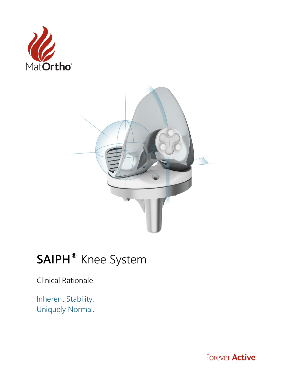



# **SAIPH®** Knee System

Clinical Rationale

Inherent Stability. Uniquely Normal.

Forever **Active**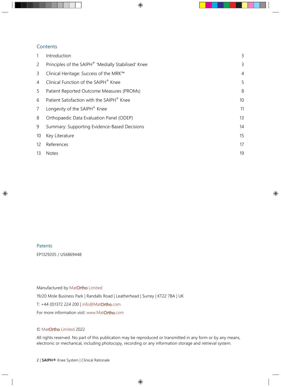# **Contents**

|                   | Introduction                                        | 3              |
|-------------------|-----------------------------------------------------|----------------|
| $\overline{2}$    | Principles of the SAIPH® 'Medially Stabilised' Knee | 3              |
| 3                 | Clinical Heritage: Success of the MRK™              | $\overline{4}$ |
| 4                 | Clinical Function of the SAIPH® Knee                | 5              |
| 5                 | Patient Reported Outcome Measures (PROMs)           | 8              |
| 6                 | Patient Satisfaction with the SAIPH® Knee           | 10             |
| $\overline{7}$    | Longevity of the SAIPH® Knee                        | 11             |
| 8                 | Orthopaedic Data Evaluation Panel (ODEP)            | 13             |
| 9                 | Summary: Supporting Evidence-Based Decisions        | 14             |
| 10                | Key Literature                                      | 15             |
| $12 \overline{ }$ | References                                          | 17             |
| 13                | <b>Notes</b>                                        | 19             |

## Patents

EP1329205 / US6869448

#### Manufactured by MatOrtho Limited

19/20 Mole Business Park | Randalls Road | Leatherhead | Surrey | KT22 7BA | UK

T: +44 (0)1372 224 200 [| info@MatOrtho.com](mailto:info@MatOrtho.com) 

For more information visit: [www.MatOrtho.com](http://www.matortho.com/)

#### © MatOrtho Limited 2022

All rights reserved. No part of this publication may be reproduced or transmitted in any form or by any means, electronic or mechanical, including photocopy, recording or any information storage and retrieval system.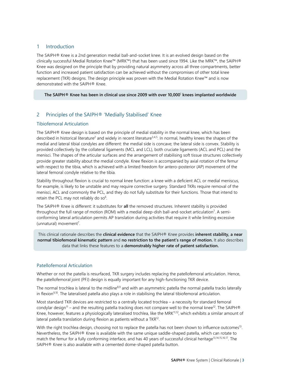# 1 Introduction

The SAIPH® Knee is a 2nd generation medial ball-and-socket knee. It is an evolved design based on the clinically successful Medial Rotation Knee™ (MRK™) that has been used since 1994. Like the MRK™, the SAIPH® Knee was designed on the principle that by providing natural asymmetry across all three compartments, better function and increased patient satisfaction can be achieved without the compromises of other total knee replacement (TKR) designs. The design principle was proven with the Medial Rotation Knee™ and is now demonstrated with the SAIPH® Knee.

#### **The SAIPH® Knee has been in clinical use since 2009 with over 10,00[0](#page-16-1)**<sup>1</sup> **knees implanted worldwide**

# 2 Principles of the SAIPH® 'Medially Stabilised' Knee

## Tibiofemoral Articulation

The SAIPH® Knee design is based on the principle of medial stability in the normal knee, which has been described in historical literature<sup>2</sup> and widely in recent literature<sup>3,[4,](#page-16-4)[5](#page-16-5)</sup>. In normal, healthy knees the shapes of the medial and lateral tibial condyles are different: the medial side is concave; the lateral side is convex. Stability is provided collectively by the collateral ligaments (MCL and LCL), both cruciate ligaments (ACL and PCL) and the menisci. The shapes of the articular surfaces and the arrangement of stabilising soft tissue structures collectively provide greater stability about the medial condyle. Knee flexion is accompanied by axial rotation of the femur with respect to the tibia, which is achieved with a limited freedom for antero-posterior (AP) movement of the lateral femoral condyle relative to the tibia.

Stability throughout flexion is crucial to normal knee function: a knee with a deficient ACL or medial meniscus, for example, is likely to be unstable and may require corrective surgery. Standard TKRs require removal of the menisci, ACL and commonly the PCL, and they do not fully substitute for their functions. Those that intend to retain the PCL may not reliably do so $6$ .

The SAIPH® Knee is different: it substitutes for **all** the removed structures. Inherent stability is provided throughout the full range of motion (ROM) with a medial deep-dish ball-and-socket articulation<sup>7</sup>. A semiconforming lateral articulation permits AP translation during activities that require it while limiting excessive (unnatural) movement<sup>7</sup>.

This clinical rationale describes the **clinical evidence** that the SAIPH® Knee provides **inherent stability, a near normal tibiofemoral kinematic pattern** and **no restriction to the patient's range of motion.** It also describes data that links these features to a **demonstrably higher rate of patient satisfaction.**

## Patellofemoral Articulation

Whether or not the patella is resurfaced, TKR surgery includes replacing the patellofemoral articulation. Hence, the patellofemoral joint (PFJ) design is equally important for any high-functioning TKR device.

The normal trochlea is lateral to the midline<sup>8,[9](#page-16-9)</sup> and with an asymmetric patella the normal patella tracks laterally in flexion<sup>9,10</sup>. The lateralised patella also plays a role in stabilising the lateral tibiofemoral articulation.

Most standard TKR devices are restricted to a centrally located trochlea – a necessity for standard femoral condylar design<sup>11</sup> – and the resulting patella tracking does not compare well to the normal knee<sup>12</sup>. The SAIPH® Knee, however, features a physiologically lateralised trochlea, like the MRK<sup>11,12</sup>, which exhibits a similar amount of lateral patella translation during flexion as patients without a TK[R12.](#page-16-12)

With the right trochlea design, choosing not to replace the patella has not been shown to influence outcomes<sup>13</sup>. Nevertheless, the SAIPH® Knee is available with the same unique saddle-shaped patella, which can rotate to match the femur for a fully conforming interface, and has 40 years of successful clinical heritage<sup>13,[14,](#page-16-14)[15,](#page-16-15)[16,](#page-16-16)17</sup>. The SAIPH® Knee is also available with a cemented dome-shaped patella button.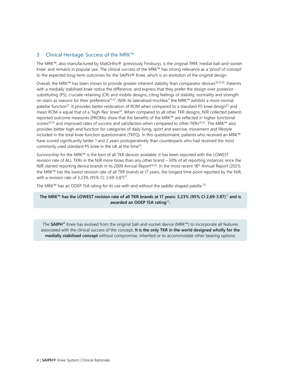# 3 Clinical Heritage: Success of the MRK™

The MRK™, also manufactured by MatOrtho® (previously Finsbury), is the original 1994 'medial ball-and-socket knee' and remains in popular use. The clinical success of the MRK™ has strong relevance as a 'proof of concept' to the expected long-term outcomes for the SAIPH® Knee, which is an evolution of the original design.

Overall, the MRK™ has been shown to provide greater inherent stability than comparator devices<sup>18,[19,](#page-16-19)20</sup>. Patients with a medially stabilised knee notice the difference, and express that they prefer the design over posteriorsubstituting (PS), cruciate retaining (CR) and mobile designs, citing feelings of stability, normality and strength on stairs as reasons for their preference<sup>21,22</sup>. With its lateralised trochlea<sup>11</sup> the MRK™ exhibits a more normal patellar function<sup>12</sup>. It provides better restoration of ROM when compared to a standard PS knee design<sup>23</sup> and mean ROM is equal that of a 'high-flex' knee<sup>24</sup>. When compared to all other TKR designs, NJR collected patientreported outcome measures (PROMs) show that the benefits of the MRK™ are reflected in higher functional scores<sup>22,[23](#page-16-23)</sup> and improved rates of success and satisfaction when compared to other TKRs<sup>20,22</sup>. The MRK™ also provides better high-end function for categories of daily living, sport and exercise, movement and lifestyle included in the total knee function questionnaire (TKFQ). In this questionnaire, patients who received an MRK™ have scored significantly better 1 and 2 years postoperatively than counterparts who had received the most commonly used standard PS knee in the UK at the time<sup>23</sup>.

Survivorship for the MRK™ is the best of all TKR devices available: it has been reported with the LOWEST revision rate of ALL TKRs in the NJR more times than any other brand – 50% of all reporting instances since the NJR started reporting device brands in its 2009 Annual Report<sup>16,24</sup>. In the most recent 18<sup>th</sup> Annual Report (2021), the MRK™ has the *lowest* revision rate of all TKR brands at 17 years, the longest time point reported by the NJR, with a revision rate of 3.23% (95% CI: 2.69-3.87)<sup>17</sup>.

The MRK™ has an ODEP 15A rating for its use with and without the saddle-shaped patella  $^{25}$ .

## **The MRK™ has the LOWEST revision rate of all TKR brands at 17 years: 3.23% (95% CI 2.69-3.87)** [17](#page-16-17) **and is awarded an ODEP 15A rating**[25](#page-16-25)**.**

The **SAIPH®** Knee has evolved from the original ball-and-socket device (MRK™) to incorporate all features associated with the clinical success of the concept**. It is the only TKR in the world designed wholly for the medially stabilised concept** without compromise, inherited or to accommodate other bearing options.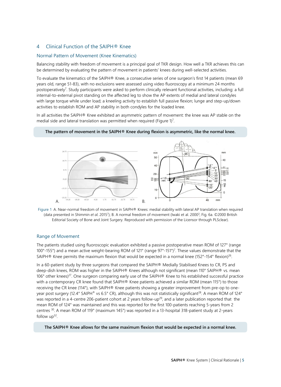# 4 Clinical Function of the SAIPH® Knee

## Normal Pattern of Movement (Knee Kinematics)

Balancing stability with freedom of movement is a principal goal of TKR design. How well a TKR achieves this can be determined by evaluating the pattern of movement in patients' knees during well-selected activities.

To evaluate the kinematics of the SAIPH® Knee, a consecutive series of one surgeon's first 14 patients (mean 69 years old, range 51-83), with no exclusions were assessed using video fluoroscopy at a minimum 24 months postoperatively<sup>7</sup>. Study participants were asked to perform clinically relevant functional activities, including: a full internal-to-external pivot standing on the affected leg to show the AP extents of medial and lateral condyles with large torque while under load; a kneeling activity to establish full passive flexion; lunge and step-up/down activities to establish ROM and AP stability in both condyles for the loaded knee.

In all activities the SAIPH® Knee exhibited an asymmetric pattern of movement: the knee was AP stable on the medial side and lateral translation was permitted when required (Figure 1[\)](#page-16-7)<sup>7</sup>.

#### **The pattern of movement in the SAIPH® Knee during flexion is asymmetric, like the normal knee.**





#### Range of Movement

The patients studied using fluoroscopic evaluation exhibited a passive postoperative mean ROM of 127° (range 100°-155°) and a mean active weight-bearing ROM of 121° (range 97°-151°[\)7](#page-16-7) . These values demonstrate that the SAIPH<sup>®</sup> Knee permits the maximum flexion that would be expected in a normal knee (152°-154° flexion)<sup>26</sup>.

In a 60-patient study by three surgeons that compared the SAIPH® Medially Stabilised Knees to CR, PS and deep-dish knees, ROM was higher in the SAIPH® Knees although not significant (mean 110° SAIPH® vs. mean 106° other knees[\)27.](#page-16-27) One surgeon comparing early use of the SAIPH® Knee to his established successful practice with a contemporary CR knee found that SAIPH® Knee patients achieved a similar ROM (mean 115°) to those receiving the CR knee (114°), with SAIPH® Knee patients showing a greater improvement from pre-op to oneyear post surgery (12.4° SAIPH® vs 6.5° CR), although this was not statistically significant<sup>28</sup>. A mean ROM of 124° was reported in a 4-centre 206-patient cohort at 2 years follow-up<sup>29</sup>, and a later publication reported that the mean ROM of 124° was maintained and this was reported for the first 100-patients reaching 5-years from 2 centres [30.](#page-17-1) A mean ROM of 119° (maximum 145°) was reported in a 13-hospital 318-patient study at 2-years follow  $up^{32}$ .

#### **The SAIPH® Knee allows for the same maximum flexion that would be expected in a normal knee.**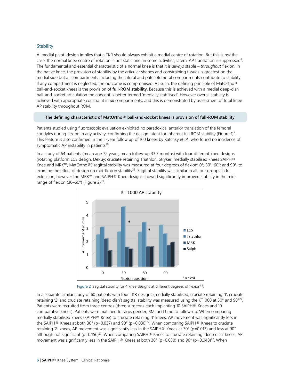## **Stability**

A 'medial pivot' design implies that a TKR should always exhibit a medial centre of rotation. But this is *not* the case: the normal knee centre of rotation is not static and, in some activities, lateral AP translation is suppresse[d4.](#page-16-4)  The fundamental and essential characteristic of a normal knee is that it is *always* stable – *throughout* flexion. In the native knee, the provision of stability by the articular shapes and constraining tissues is greatest on the medial side but all compartments including the lateral and patellofemoral compartments contribute to stability. If any compartment is neglected, the outcome is compromised. As such, the defining principle of MatOrtho® ball-and-socket knees is the provision of **full-ROM stability**. Because this is achieved with a medial deep-dish ball-and-socket articulation the concept is better termed 'medially stabilised'. However overall stability is achieved with appropriate constraint in *all* compartments, and this is demonstrated by assessment of total knee AP stability throughout ROM.

#### **The defining characteristic of MatOrtho® ball-and-socket knees is provision of full-ROM stability.**

Patients studied using fluoroscopic evaluation exhibited no paradoxical anterior translation of the femoral condyles during flexion in any activity, confirming the design intent for inherent full ROM stability (Figure 1)<sup>[7](#page-16-7)</sup>. This feature is also confirmed in the 5-year follow up of 100 knees by Katchky *et al*., who found no incidence of symptomatic AP instability in patients<sup>30</sup>.

In a study of 64 patients (mean age 72 years; mean follow-up 33.7 months) with four different knee designs (rotating platform LCS design, DePuy; cruciate retaining Triathlon, Stryker; medially stabilised knees SAIPH® Knee and MRK™, MatOrtho®) sagittal stability was measured at four degrees of flexion: 0°; 30°; 60°; and 90°, to examine the effect of design on mid-flexion stability<sup>33</sup>. Sagittal stability was similar in all four groups in full extension; however the MRK™ and SAIPH® Knee designs showed significantly improved stability in the midrange of flexion (30–60°) (Figure 2)<sup>33</sup>.



Figure 2 Sagittal stability for 4 knee designs at different degrees of flexion<sup>33</sup>.

In a separate similar study of 60 patients with four TKR designs (medially stabilised, cruciate retaining '1', cruciate retaining '2' and cruciate retaining 'deep dish') sagittal stability was measured using the KT1000 at 30° and 90[°27.](#page-16-27) Patients were recruited from three centres (three surgeons each implanting 10 SAIPH® Knees and 10 comparative knees). Patients were matched for age, gender, BMI and time to follow-up. When comparing medially stabilised knees (SAIPH® Knee) to cruciate retaining '1' knees, AP movement was significantly less in the SAIPH® Knees at both 30° (p=0.037) and 90° (p=0.030)<sup>27</sup>. When comparing SAIPH® Knees to cruciate retaining '2' knees, AP movement was significantly less in the SAIPH® Knees at 30° (p=0.013) and less at 90° although not significant (p=0.156)<sup>27</sup>. When comparing SAIPH® Knees to cruciate retaining 'deep dish' knees, AP movement was significantly less in the SAIPH® Knees at both 30° (p=0.030) and 90° (p=0.048)<sup>27</sup>. When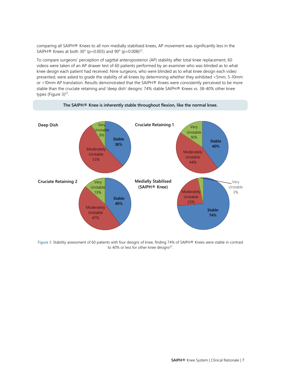comparing all SAIPH® Knees to all non-medially stabilised knees, AP movement was significantly less in the SAIPH® Knees at both 30 $^{\circ}$  (p=0.003) and 90 $^{\circ}$  (p=0.008)<sup>27</sup>.

To compare surgeons' perception of sagittal anteroposterior (AP) stability after total knee replacement, 60 videos were taken of an AP drawer test of 60 patients performed by an examiner who was blinded as to what knee design each patient had received. Nine surgeons, who were blinded as to what knee design each video presented, were asked to grade the stability of all knees by determining whether they exhibited <5mm, 5-10mm or >10mm AP translation. Results demonstrated that the SAIPH® Knees were consistently perceived to be more stable than the cruciate retaining and 'deep dish' designs: 74% stable SAIPH® Knees vs. 38-40% other knee types (Figure 3) [27.](#page-16-27) 





Figure 3 Stability assessment of 60 patients with four designs of knee, finding 74% of SAIPH® Knees were stable in contrast to 40% or less for other knee designs<sup>27</sup>.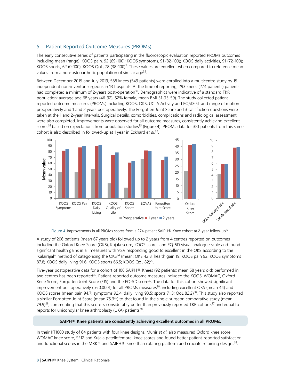# 5 Patient Reported Outcome Measures (PROMs)

The early consecutive series of patients participating in the fluoroscopic evaluation reported PROMs outcomes including mean (range): KOOS pain, 92 (69-100); KOOS symptoms, 91 (82-100); KOOS daily activities, 91 (72-100); KOOS sports, 62 (0-100); KOOS QoL, 78 (38-100)<sup>7</sup>. These values are excellent when compared to reference mean values from a non-osteoarthritic population of similar age<sup>35</sup>.

Between December 2015 and July 2019, 588 knees (549 patients) were enrolled into a multicentre study by 15 independent non-inventor surgeons in 13 hospitals. At the time of reporting, 293 knees (274 patients) patients had completed a minimum of 2-years post-operation<sup>32</sup>. Demographics were indicative of a standard TKR population: average age 68 years (46-92), 52% female, mean BMI 31 (15-59). The study collected patient reported outcome measures (PROMs) including KOOS, OKS, UCLA Activity and EQ5D-5L and range of motion preoperatively and 1 and 2 years postoperatively. The Forgotten Joint Score and 3 satisfaction questions were taken at the 1 and 2-year intervals. Surgical details, comorbidities, complications and radiological assessment were also completed. Improvements were observed for all outcome measures, consistently achieving excellent scores<sup>32</sup> based on expectations from population studies<sup>35</sup> (Figure 4). PROMs data for 381 patients from this same cohort is also described in followed-up at 1 year in Eckhard *et al*. [36.](#page-17-5) 



Figure 4 Improvements in all PROMs scores from a 274-patient SAIPH® Knee cohort at 2-year follow-up<sup>32</sup>.

A study of 206 patients (mean 67 years old) followed up to 2 years from 4 centres reported on outcomes including the Oxford Knee Score (OKS), Kujala score, KOOS scores and EQ-5D visual analogue scale and found significant health gains in all measures with 95% responding good to excellent in the OKS according to the 'Kalairajah' method of categorising the OKS<sup>34</sup> (mean: OKS 42.8, health gain 19; KOOS pain 92; KOOS symptoms 87.8; KOOS daily living 91.6; KOOS sports 66.5; KOOS QoL 82)<sup>29</sup>.

Five-year postoperative data for a cohort of 100 SAIPH® Knees (92 patients; mean 68 years old) performed in two centres has been reported<sup>30</sup>. Patient-reported outcome measures included the KOOS, WOMAC, Oxford Knee Score, Forgotten Joint Score (FJS) and the EQ-5D score<sup>30</sup>. The data for this cohort showed significant improvement postoperatively ( $p$ <0.0001) for all PROMs measures<sup>30</sup>, including excellent OKS (mean 44) and KOOS scores (mean pain 94.7; symptoms 92.4; daily living 93.5; sports 71.3; QoL 82.2)<sup>30</sup>. This study also reported a similar Forgotten Joint Score (mean  $75.3^{30}$ ) to that found in the single-surgeon comparative study (mean 79.9)<sup>28</sup>, commenting that this score is considerably better than previously reported TKR cohorts<sup>37</sup> and equal to reports for unicondylar knee arthroplasty (UKA) patients $38$ .

#### **SAIPH® Knee patients are consistently achieving excellent outcomes in all PROMs.**

In their KT1000 study of 64 patients with four knee designs, Munir *et al*. also measured Oxford knee score, WOMAC knee score, SF12 and Kujala patellofemoral knee scores and found better patient-reported satisfaction and functional scores in the MRK™ and SAIPH® Knee than rotating platform and cruciate retaining designs<sup>33</sup>.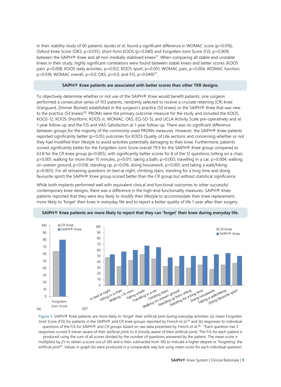In their stability study of 60 patients Jacobs *et al*. found a significant difference in WOMAC score (p=0.016), Oxford Knee Score (OKS; p=0.015), short-form KOOS (p=0.040) and Forgotten Joint Score (FJS; p=0.009) between the SAIPH® Knee and all non-medially stabilised knees<sup>27</sup>. When comparing all stable and unstable knees in their study, highly significant correlations were found between stable knees and better scores (KOOS pain, p=0.008; KOOS daily activities, p=0.012; KOOS sport, p=0.001; WOMAC pain, p=0.004; WOMAC function, p=0.018; WOMAC overall, p=0.0; OKS, p=0.0; and FJS, p=0.049)<sup>27</sup>.

#### **SAIPH® Knee patients are associated with better scores than other TKR designs.**

To objectively determine whether or not use of the SAIPH® Knee would benefit patients, one surgeon performed a consecutive series of 103 patients, randomly selected to receive a cruciate retaining (CR) knee (Vanguard, Zimmer Biomet) established in the surgeon's practice (50 knees) or the SAIPH® Knee that was new to the practice (53 knees)<sup>28</sup>. PROMs were the primary outcome measure for the study and included the KOOS, KOOS-12, KOOS-Shortform, KOOS-Jr, WOMAC, OKS, EQ-5D-5L and UCLA Activity Scale pre-operatively and at 1-year follow-up and the FJS and VAS-Satisfaction at 1-year follow-up. There was no significant difference between groups for the majority of the commonly-used PROMs measures. However, the SAIPH® Knee patients reported significantly better (p<0.05) outcomes for KOOS Quality of Life sections and concerning whether or not they had modified their lifestyle to avoid activities potentially damaging to their knee. Furthermore, patients scored significantly better for the Forgotten Joint Score overall 79.9 for the SAIPH® Knee group compared to 63.8 for the CR knee group ( $p=0.005$ ), with significantly better scores for 8 of the 12 questions (sitting on a chair, p=0.001; walking for more than 15 minutes, p=0.011; taking a bath, p=0.003; travelling in a car, p=0.004; walking on uneven ground,  $p=0.018$ ; standing up,  $p=0.016$ ; doing housework,  $p=0.001$ ; and taking a walk/hiking, p=0.003). For all remaining questions (in bed at night, climbing stairs, standing for a long time and doing favourite sport) the SAIPH® Knee group scored better than the CR group but without statistical significance.

While both implants performed well with equivalent clinical and functional outcomes to other successful contemporary knee designs, there was a difference in the high-end functionality measures. SAIPH® Knee patients reported that they were less likely to modify their lifestyle to accommodate their knee replacement, more likely to 'forget' their knee in everyday life and to report a better quality of life 1-year after their surgery.





Figure 5 SAIPH® Knee patients are more likely to 'forget' their artificial joint during everyday activities: (a) mean Forgotten Joint Score (FJS) for patients in the SAIPH® and CR knee groups reported by French *et al*. [28](#page-16-28) and (b) responses to individual questions of the FJS for SAIPH® and CR groups based on raw data presented by French *et al*. [28.](#page-16-28) \*Each question has 5 responses scored 0 (never aware of their artificial joint) to 4 (mostly aware of their artificial joint). The FJS for each patient is produced using the sum of all scores divided by the number of questions answered by the patient. The mean score is multiplied by 25 to obtain a score out of 100 and is then subtracted from 100 to indicate a higher degree or 'forgetting' the artificial joint<sup>39</sup>. Values in graph (b) were produced in a comparable way but using mean score for each individual question.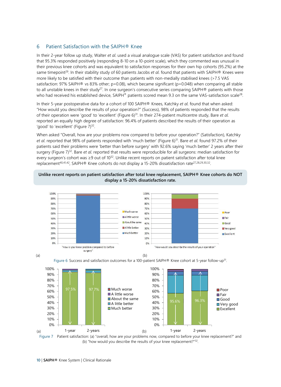# 6 Patient Satisfaction with the SAIPH® Knee

In their 2-year follow up study, Walter *et al*. used a visual analogue scale (VAS) for patient satisfaction and found that 95.3% responded positively (responding 8-10 on a 10-point scale), which they commented was unusual in their previous knee cohorts and was equivalent to satisfaction responses for their own hip cohorts (95.2%) at the same timepoin[t29.](#page-17-0) In their stability study of 60 patients Jacobs *et al*. found that patients with SAIPH® Knees were more likely to be satisfied with their outcome than patients with non-medially stabilised knees (>7.5 VAS satisfaction: 97% SAIPH® vs 83% other; p=0.08), which became significant (p=0.048) when comparing all stable to all unstable knees in their study<sup>27</sup>. In one surgeon's consecutive series comparing SAIPH® patients with those who had received his established device, SAIPH® patients scored mean 9.3 on the same VAS-satisfaction scale<sup>28</sup>.

In their 5-year postoperative data for a cohort of 100 SAIPH® Knees, Katchky *et al*. found that when asked: "How would you describe the results of your operation?" (Success), 98% of patients responded that the results of their operation were 'good' to 'excellent' (Figure 6) [31.](#page-17-10) In their 274-patient multicentre study, Bare *et al*. reported an equally high degree of satisfaction: 96.4% of patients described the results of their operation as 'good' to 'excellent' (Figure 7)<sup>32</sup>.

When asked "Overall, how are your problems now compared to before your operation?" (Satisfaction), Katchky *et al*. reported that 98% of patients responded with 'much better' (Figure 6) [31.](#page-17-10) Bare *et al*. found 97.2% of their patients said their problems were 'better than before surgery' with 92.6% saying 'much better' 2 years after their surgery (Figure 7) [32.](#page-17-2) Bare *et al*. reported that results were reproducible for all surgeons: median satisfaction for every surgeon's cohort was ≥9 out of 10<sup>32</sup>. Unlike recent reports on patient satisfaction after total knee replacement<sup>40,[41,](#page-17-12)42</sup>, SAIPH® Knee cohorts do not display a 15-20% dissatisfaction rate<sup>27,[28,](#page-16-28)[29,](#page-17-0)[30,](#page-17-1)32</sup>.

## **Unlike recent reports on patient satisfaction after total knee replacement, SAIPH® Knee cohorts do NOT display a 15-20% dissatisfaction rate.**









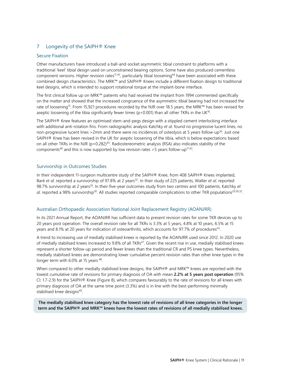# 7 Longevity of the SAIPH<sup>®</sup> Knee

## Secure Fixation

Other manufacturers have introduced a ball-and-socket asymmetric tibial constraint to platforms with a traditional 'keel' tibial design used on unconstrained bearing options. Some have also produced cementless component versions. Higher revision rates<sup>17,43</sup>, particularly tibial loosening<sup>44</sup> have been associated with these combined design characteristics. The MRK™ and SAIPH® Knees include a different fixation design to traditional keel designs, which is intended to support rotational torque at the implant-bone interface.

The first clinical follow up on MRK™ patients who had received the implant from 1994 commented specifically on the matter and showed that the increased congruence of the asymmetric tibial bearing had not increased the rate of loosening<sup>15</sup>. From 15,921 procedures recorded by the NJR over 18.5 years, the MRK™ has been revised for aseptic loosening of the tibia significantly fewer times ( $p$ <0.001) than all other TKRs in the UK<sup>16</sup>.

The SAIPH® Knee features an optimised stem-and-pegs design with a stippled cement interlocking interface with additional anti-rotation fins. From radiographic analysis Katchky *et al*. found no progressive lucent lines, no non-progressive lucent lines >2mm and there were no incidences of osteolysis at 5 years follow-up<sup>30</sup>. Just one SAIPH® Knee has been revised in the UK for aseptic loosening of the tibia, which is below expectations based on all other TKRs in the NJR ( $p=0.282$ )<sup>45</sup>. Radiostereometric analysis (RSA) also indicates stability of the components<sup>46</sup> and this is now supported by low revision rates >5 years follow-up<sup>17,43</sup>.

## Survivorship in Outcomes Studies

In their independent 11-surgeon multicentre study of the SAIPH® Knee, from 408 SAIPH® Knees implanted, Baré *et al.* reported a survivorship of 97.8% at 2 years<sup>32</sup>. In their study of 225 patients, Walter *et al.* reported 98.7% survivorship at 2 years<sup>29</sup>. In their five-year outcomes study from two centres and 100 patients, Katchky *et* al. reported a 98% survivorship<sup>30</sup>. All studies reported comparable complications to other TKR populations<sup>29,[30,](#page-17-1)32</sup>.

## Australian Orthopaedic Association National Joint Replacement Registry (AOANJRR)

In its 2021 Annual Report, the AOANJRR has sufficient data to present revision rates for some TKR devices up to 20 years post operation. The overall revision rate for all TKRs is 3.3% at 5 years, 4.8% at 10 years, 6.5% at 15 years and 8.1% at 20 years for indication of osteoarthritis, which accounts for 97.7% of procedures<sup>43</sup>.

A trend to increasing use of medially stabilised knees is reported by the AOANJRR used since 2012. In 2020 use of medially stabilised knees increased to 9.8% of all TKRs<sup>47</sup>. Given the recent rise in use, medially stabilised knees represent a shorter follow-up period and fewer knees than the traditional CR and PS knee types. Nevertheless, medially stabilised knees are demonstrating lower cumulative percent revision rates than other knee types in the longer term with 6.0% at 15 years <sup>48</sup>.

When compared to other medially stabilised knee designs, the SAIPH® and MRK™ knees are reported with the lowest cumulative rate of revisions for primary diagnosis of OA with mean **2.2% at 5 years post operation** (95% CI: 1.7-2.9) for the SAIPH® Knee (Figure 8), which compares favourably to the rate of revisions for all knees with primary diagnosis of OA at the same time point (3.3%) and is in line with the best-performing minimally stabilised knee designs<sup>49</sup>.

**The medially stabilised knee category has the lowest rate of revisions of all knee categories in the longer term and the SAIPH® and MRK™ knees have the lowest rates of revisions of all medially stabilised knees.**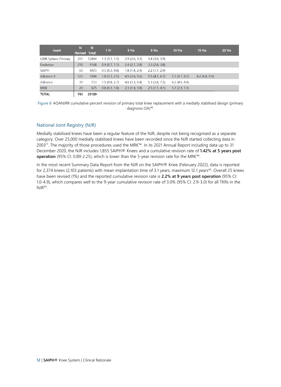| Insert                    | N<br>Revised Total | N     | 1Yr           | 3 Yrs            | 5 Yrs            | 10 Yrs        | 15 Yrs        | 20 Yrs |
|---------------------------|--------------------|-------|---------------|------------------|------------------|---------------|---------------|--------|
| <b>GMK Sphere Primary</b> | 291                | 12844 | 1.3(1.1, 1.5) | 2.9(2.6, 3.3)    | $3.4$ (3.0, 3.9) |               |               |        |
| Evolution                 | 210                | 9168  | 0.9(0.7, 1.1) | $2.4$ (2.1, 2.8) | 3.3(2.8, 3.8)    |               |               |        |
| <b>SAIPH</b>              | 60                 | 4073  | 0.5(0.3, 0.8) | 1.8(1.4, 2.4)    | 2.2(1.7, 2.9)    |               |               |        |
| Advance II                | 123                | 1696  | 1.8(1.3, 2.5) | $4.5$ (3.6, 5.6) | 5.5(4.5, 6.7)    | 7.3(6.1, 8.7) | 8.2(6.8, 9.9) |        |
| Advance                   | 39                 | 733   | 1.5(0.8, 2.7) | $4.6$ (3.3, 6.4) | $5.3$ (3.8, 7.2) | 6.2(4.5, 8.4) |               |        |
| <b>MRK</b>                | 20                 | 675   | 0.8(0.3, 1.8) | 2.3(1.4, 3.8)    | 2.5(1.5, 4.1)    | 3.7(2.3, 5.9) |               |        |
| <b>TOTAL</b>              | 743                | 29189 |               |                  |                  |               |               |        |

Figure 8 AOANJRR cumulative percent revision of primary total knee replacement with a medially stabilised design (primary diagnosis OA[\)49.](#page-17-20) 

## National Joint Registry (NJR)

Medially stabilised knees have been a regular feature of the NJR, despite not being recognised as a separate category. Over 25,000 medially stabilised knees have been recorded since the NJR started collecting data in 200[317.](#page-16-17) The majority of those procedures used the MRK™. In its 2021 Annual Report including data up to 31 December 2020, the NJR includes 1,855 SAIPH® Knees and a cumulative revision rate of **1.42% at 5 years post operation** (95% CI: 0.89-2.25), which is lower than the 5-year revision rate for the MRK™.

In the most recent Summary Data Report from the NJR on the SAIPH® Knee (February 2022), data is reported for 2,374 knees (2,103 patients) with mean implantation time of 3.1 years, maximum 12.1 years<sup>45</sup>. Overall 25 knees have been revised (1%) and the reported cumulative revision rate is **2.2% at 9 years post operation** (95% CI: 1.0-4.9), which compares well to the 9-year cumulative revision rate of 3.0% (95% CI: 2.9-3.0) for all TKRs in the  $NIR<sup>45</sup>$ .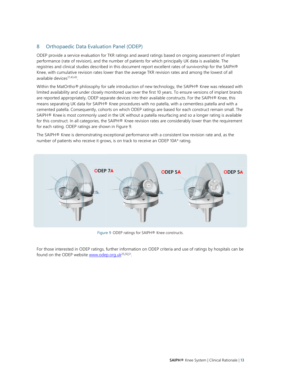# 8 Orthopaedic Data Evaluation Panel (ODEP)

ODEP provide a service evaluation for TKR ratings and award ratings based on ongoing assessment of implant performance (rate of revision), and the number of patients for which principally UK data is available. The registries and clinical studies described in this document report excellent rates of survivorship for the SAIPH® Knee, with cumulative revision rates lower than the average TKR revision rates and among the lowest of all available devices<sup>17,[43,](#page-17-14)45</sup>

Within the MatOrtho® philosophy for safe introduction of new technology, the SAIPH® Knee was released with limited availability and under closely monitored use over the first 10 years. To ensure versions of implant brands are reported appropriately, ODEP separate devices into their available constructs. For the SAIPH® Knee, this means separating UK data for SAIPH® Knee procedures with no patella, with a cementless patella and with a cemented patella. Consequently, cohorts on which ODEP ratings are based for each construct remain small. The SAIPH® Knee is most commonly used in the UK without a patella resurfacing and so a longer rating is available for this construct. In all categories, the SAIPH® Knee revision rates are considerably lower than the requirement for each rating. ODEP ratings are shown in Figure 9.

The SAIPH® Knee is demonstrating exceptional performance with a consistent low revision rate and, as the number of patients who receive it grows, is on track to receive an ODEP 10A\* rating.



Figure 9 ODEP ratings for SAIPH® Knee constructs.

For those interested in ODEP ratings, further information on ODEP criteria and use of ratings by hospitals can be found on the ODEP website [www.odep.org.uk](http://www.odep.org.uk/)<sup>[25,](#page-16-25)[50,](#page-17-21)51</sup>.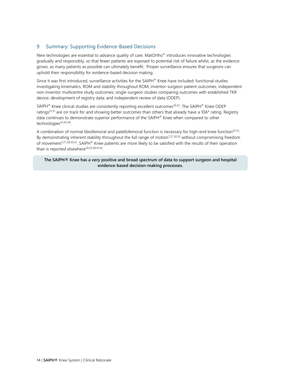# 9 Summary: Supporting Evidence-Based Decisions

New technologies are essential to advance quality of care. MatOrtho® introduces innovative technologies gradually and responsibly, so that fewer patients are exposed to potential risk of failure whilst, as the evidence grows, as many patients as possible can ultimately benefit. Proper surveillance ensures that surgeons can uphold their responsibility for evidence-based decision making.

Since it was first introduced, surveillance activities for the SAIPH® Knee have included: functional studies investigating kinematics, ROM and stability throughout ROM; inventor-surgeon patient outcomes; independent non-inventor multicentre study outcomes; single-surgeon studies comparing outcomes with established TKR device; development of registry data; and independent review of data (ODEP).

SAIPH $\textsuperscript{®}$  Knee clinical studies are consistently reporting excellent outcomes<sup>30,32</sup>. The SAIPH $\textsuperscript{®}$  Knee ODEP ratings<sup>25,[51](#page-17-22)</sup> are on track for and showing better outcomes than others that already have a 10A\* rating. Registry data continues to demonstrate superior performance of the SAIPH® Knee when compared to other technologies<sup>43,[45,](#page-17-16)49</sup>.

A combination of normal tibiofemoral and patellofemoral function is necessary for high-end knee function<sup>52,53</sup>. By demonstrating inherent stability throughout the full range of motion<sup>7,[27,](#page-16-27)[30,](#page-17-1)[33](#page-17-3)</sup> without compromising freedom of movement<sup>7,[27,](#page-16-27)[28,](#page-16-28)[30,](#page-17-1)32</sup>, SAIPH® Knee patients are more likely to be satisfied with the results of their operation than is reported elsewhere<sup>30,[32,](#page-17-2)[40,](#page-17-11)[41,](#page-17-12)42</sup>.

#### **The SAIPH® Knee has a very positive and broad spectrum of data to support surgeon and hospital evidence-based decision-making processes.**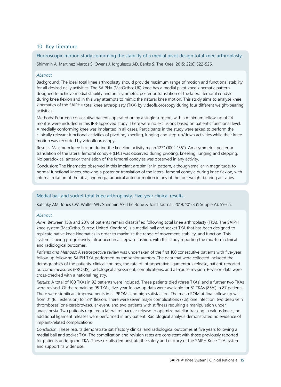# 10 Key Literature

Fluoroscopic motion study confirming the stability of a medial pivot design total knee arthroplasty. Shimmin A, Martinez Martos S, Owens J, Iorgulescu AD, Banks S. The Knee. 2015; 22(6):522-526.

## *Abstract*

Background: The ideal total knee arthroplasty should provide maximum range of motion and functional stability for all desired daily activities. The SAIPH® (MatOrtho; UK) knee has a medial pivot knee kinematic pattern designed to achieve medial stability and an asymmetric posterior translation of the lateral femoral condyle during knee flexion and in this way attempts to mimic the natural knee motion. This study aims to analyse knee kinematics of the SAIPH® total knee arthroplasty (TKA) by videofluoroscopy during four different weight-bearing activities.

Methods: Fourteen consecutive patients operated on by a single surgeon, with a minimum follow-up of 24 months were included in this IRB-approved study. There were no exclusions based on patient's functional level. A medially conforming knee was implanted in all cases. Participants in the study were asked to perform the clinically relevant functional activities of pivoting, kneeling, lunging and step-up/down activities while their knee motion was recorded by videofluoroscopy.

Results: Maximum knee flexion during the kneeling activity mean 127° (100°-155°). An asymmetric posterior translation of the lateral femoral condyle (LFC) was observed during pivoting, kneeling, lunging and stepping. No paradoxical anterior translation of the femoral condyles was observed in any activity.

Conclusion: The kinematics observed in this implant are similar in pattern, although smaller in magnitude, to normal functional knees, showing a posterior translation of the lateral femoral condyle during knee flexion, with internal rotation of the tibia, and no paradoxical anterior motion in any of the four weight bearing activities.

## Medial ball and socket total knee arthroplasty. Five-year clinical results.

Katchky AM, Jones CW, Walter WL, Shimmin AS. The Bone & Joint Journal. 2019; 101-B (1 Supple A): 59-65.

## *Abstract*

*Aims*: Between 15% and 20% of patients remain dissatisfied following total knee arthroplasty (TKA). The SAIPH knee system (MatOrtho, Surrey, United Kingdom) is a medial ball and socket TKA that has been designed to replicate native knee kinematics in order to maximize the range of movement, stability, and function. This system is being progressively introduced in a stepwise fashion, with this study reporting the mid-term clinical and radiological outcomes.

*Patients and Methods*: A retrospective review was undertaken of the first 100 consecutive patients with five-year follow-up following SAIPH TKA performed by the senior authors. The data that were collected included the demographics of the patients, clinical findings, the rate of intraoperative ligamentous release, patient-reported outcome measures (PROMS), radiological assessment, complications, and all-cause revision. Revision data were cross-checked with a national registry.

*Results*: A total of 100 TKAs in 92 patients were included. Three patients died (three TKAs) and a further two TKAs were revised. Of the remaining 95 TKAs, five-year follow-up data were available for 81 TKAs (85%) in 87 patients. There were significant improvements in all PROMs and high satisfaction. The mean ROM at final follow-up was from 0° (full extension) to 124° flexion. There were seven major complications (7%): one infection, two deep vein thromboses, one cerebrovascular event, and two patients with stiffness requiring a manipulation under anaesthesia. Two patients required a lateral retinacular release to optimize patellar tracking in valgus knees; no additional ligament releases were performed in any patient. Radiological analysis demonstrated no evidence of implant-related complications.

*Conclusion*: These results demonstrate satisfactory clinical and radiological outcomes at five years following a medial ball and socket TKA. The complication and revision rates are consistent with those previously reported for patients undergoing TKA. These results demonstrate the safety and efficacy of the SAIPH Knee TKA system and support its wider use.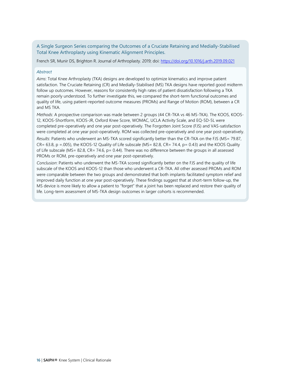A Single Surgeon Series comparing the Outcomes of a Cruciate Retaining and Medially-Stabilised Total Knee Arthroplasty using Kinematic Alignment Principles.

French SR, Munir DS, Brighton R. Journal of Arthroplasty. 2019; doi:<https://doi.org/10.1016/j.arth.2019.09.021>

## *Abstract*

*Aims*: Total Knee Arthroplasty (TKA) designs are developed to optimize kinematics and improve patient satisfaction. The Cruciate Retaining (CR) and Medially-Stabilised (MS) TKA designs have reported good midterm follow up outcomes. However, reasons for consistently high rates of patient dissatisfaction following a TKA remain poorly understood. To further investigate this, we compared the short-term functional outcomes and quality of life, using patient-reported outcome measures (PROMs) and Range of Motion (ROM), between a CR and MS TKA.

*Methods*: A prospective comparison was made between 2 groups (44 CR-TKA vs 46 MS-TKA). The KOOS, KOOS-12, KOOS-Shortform, KOOS-JR, Oxford Knee Score, WOMAC, UCLA Activity Scale, and EQ-5D-5L were completed pre-operatively and one year post-operatively. The Forgotten Joint Score (FJS) and VAS-satisfaction were completed at one year post-operatively. ROM was collected pre-operatively and one year post-operatively.

*Results*: Patients who underwent an MS-TKA scored significantly better than the CR-TKA on the FJS (MS= 79.87,  $CR = 63.8$ , p =.005), the KOOS-12 Quality of Life subscale (MS= 82.8, CR= 74.4, p= 0.43) and the KOOS Quality of Life subscale (MS= 82.8, CR= 74.6, p= 0.44). There was no difference between the groups in all assessed PROMs or ROM, pre-operatively and one year post-operatively.

*Conclusion*: Patients who underwent the MS-TKA scored significantly better on the FJS and the quality of life subscale of the KOOS and KOOS-12 than those who underwent a CR-TKA. All other assessed PROMs and ROM were comparable between the two groups and demonstrated that both implants facilitated symptom relief and improved daily function at one year post-operatively. These findings suggest that at short-term follow-up, the MS device is more likely to allow a patient to "forget" that a joint has been replaced and restore their quality of life. Long-term assessment of MS-TKA design outcomes in larger cohorts is recommended.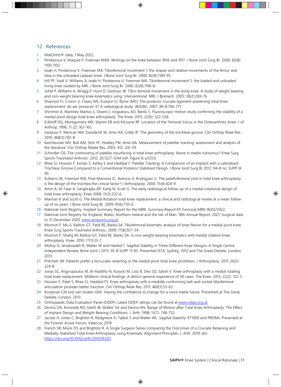# <span id="page-16-0"></span>12 References

- <span id="page-16-1"></span>1 MatOrtho® data, 1 May 2022.
- <span id="page-16-2"></span>2 Pinskerova V, Maquet P, Freeman MAR. Writings on the knee between 1836 and 1917. J Bone Joint Surg Br. 2000; 82(8): 1100-1102.
- <span id="page-16-3"></span>3 Iwaki H, Pinskerova V, Freeman MA. Tibiofemoral movement 1: the shapes and relative movements of the femur and tibia in the unloaded cadaver knee. J Bone Joint Surg Br. 2000; 82(8):1189-95.
- <span id="page-16-4"></span>4 Hill PF, Vedi V, Williams A, Iwaki H, Pinskerova V, Freeman MA. Tibiofemoral movement 2: the loaded and unloaded living knee studied by MRI. J Bone Joint Surg Br. 2000; 82(8):1196-8.
- <span id="page-16-5"></span>5 Johal P, Williams A, Wragg P, Hunt D, Gedroyc W. Tibio-femoral movement in the living knee. A study of weight bearing and non-weight bearing knee kinematics using 'interventional' MRI. J Biomech. 2005; 38(2):269-76.
- <span id="page-16-6"></span>6 Shannon FJ, Cronin JJ, Cleary MS, Eustace SJ, Byrne JMO. The posterior cruciate ligament-preserving total knee replacement: do we 'preserve' it? A radiological study. JBJS(Br). 2007; 89-B:766-771.
- <span id="page-16-7"></span>7 Shimmin A, Martinez Martos S, Owens J, Iorgulescu AD, Banks S. Fluoroscopic motion study confirming the stability of a medial pivot design total knee arthroplasty. The Knee. 2015; 22(6): 522-526.
- <span id="page-16-8"></span>8 Eckhoff DG, Montgomery WK, Stamm ER and Kilcoyne RF. Location of the Femoral Sulcus in the Osteoarthritic Knee. J of Arthrop. 1996; 11 (2): 163-165.
- <span id="page-16-9"></span>9 Iranpour F, Merican AM, Dandachli W, Amis AA, Cobb JP. The geometry of the trochlear groove. Clin Orthop Relat Res. 2010; 468(3):782-8.
- <span id="page-16-10"></span>10 Katchburian MV, Bull AM, Shih YF, Heatley FW, Amis AA. Measurement of patellar tracking: assessment and analysis of the literature. Clin Orthop Relate Res. 2003; 412: 241-59.
- <span id="page-16-11"></span>11 Schindler OS. The controversy of patellar resurfacing in total knee arthroplasty: Ibisne in medio tutissimus? Knee Surg Sports Traumatol Arthrosc. 2012; 20:1227-1244 (ref. Figure 8, p1233).
- <span id="page-16-12"></span>12 Rhee SJ, Hossain F, Konan S, Ashby E and Haddad F. Patellar Tracking: A Comparison of an Implant with a Lateralised Trochlear Groove Compared to a Conventional Posterior Stabilised Design. J Bone Joint Surg Br 2012; 94-B no. SUPP IX 90.
- <span id="page-16-13"></span>13 Kulkarni SK, Freeman MA, Poal-Manresa JC, Asencio JI, Rodriguez JJ. The patellofemoral joint in total knee arthroplasty: is the design of the trochlea the critical factor? J Arthroplasty. 2000; 15(4):424-9.
- <span id="page-16-14"></span>14 Amin A, Al-Taiar A, Sanghrajka AP, Kang N, Scott G. The early radiological follow-up of a medial rotational design of total knee arthroplasty. Knee 2008; 15(3):222-6.
- <span id="page-16-15"></span>15 Mannan K and Scott G. The Medial Rotation total knee replacement: a clinical and radiological review at a mean followup of six years. J Bone Joint Surg Br. 2009; 91(6):750-6.
- <span id="page-16-16"></span>16 National Joint Registry. Implant Summary Report for the MRK. Summary.Report.KP\_Femoral\_MRK.18/02/2022.
- <span id="page-16-17"></span>17 National Joint Registry for England, Wales, Northern Ireland and the Isle of Man. 18th Annual Report, 2021: Surgical data to 31 December 2020[. www.njrreports.org.uk.](http://www.njrreports.org.uk/)
- <span id="page-16-18"></span>18 Moonot P, Mu S, Railton GT, Field RE, Banks SA. Tibiofemoral kinematic analysis of knee flexion for a medial pivot knee. Knee Surg Sports Traumatol Arthrosc. 2009; 17(8):927-34.
- <span id="page-16-19"></span>19 Moonot P, Shang M, Railton GT, Field RE, Banks SA. In vivo weight-bearing kinematics with medial rotation knee arthroplasty. Knee. 2010; 17(1):33-7.
- <span id="page-16-20"></span>20 Molloy D, Jenabzadeh R, Walter W and Hasted T. Sagittal Stability in Three Different Knee Designs. A Single Centre Independent Review. Bone Joint J 2013; 95-B SUPP 15 85. Presented ISTA, Sydney, 2012 and The Great Debate, London, 2013.
- <span id="page-16-21"></span>21 Pritchett JW. Patients prefer a bicruciate-retaining or the medial pivot total knee prosthesis. J Arthroplasty. 2011; 26(2): 224-8.
- <span id="page-16-22"></span>22 Jonas SC, Argyropoulos M, Al-Hadithy N, Korycki M, Lotz B, Deo SD, Satish V. Knee arthroplasty with a medial rotating total knee replacement. Midterm clinical findings: A district general experience of 38 cases. The Knee. 2015; 22(2): 122-5.
- <span id="page-16-23"></span>23 Hossain F, Patel S, Rhee SJ, Haddad FS. Knee arthroplasty with a medially conforming ball-and-socket tibiofemoral articulation provides better function. Clin Orthop Relat Res. 2011; 469(1):55-63.
- <span id="page-16-24"></span>24 Kooijman CM and van Stralen GMJ. Having the confidence to change for a more stable future. Presented at The Great Debate, London, 2013.
- <span id="page-16-25"></span>25 Orthopaedic Data Evaluation Panel (ODEP). Latest ODEP ratings can be found at [www.odep.org.uk](http://www.odep.org.uk/)
- <span id="page-16-26"></span>26 Dennis DA, Komistek RD, Stiehl JB, Walker SA and Dennis KN. Range of Motion after Total Knee Arthroplasty: The Effect of Implant Design and Weight-Bearing Conditions. J. Arth. 1998; 13(7): 748-752.
- <span id="page-16-27"></span>27 Jacobs H, Jones C, Brighton R, Redgment A, Talbot S and Walter WL. Sagittal Stability: KT1000 and PROMs. Presented at the Forever Active Forum, Valencia, 2019.
- <span id="page-16-28"></span>28 French SR, Munir DS and Brighton R. A Single Surgeon Series comparing the Outcomes of a Cruciate Retaining and Medially-Stabilised Total Knee Arthroplasty using Kinematic Alignment Principles. J. Arth. 2019; doi: [https://doi.org/10.1016/j.arth.2019.09.021.](https://doi.org/10.1016/j.arth.2019.09.021)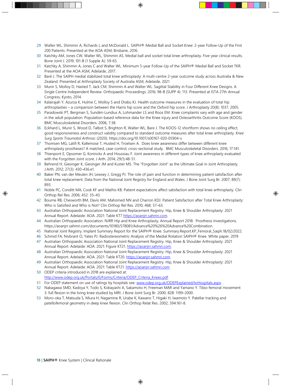- <span id="page-17-0"></span>29 Walter WL, Shimmin A, Richards L and McDonald L. SAIPH® Medial Ball and Socket Knee: 2-year Follow-Up of the First 200 Patients. Presented at the AOA ASM, Brisbane, 2016.
- <span id="page-17-1"></span>30 Katchky AM, Jones CW, Walter WL, Shimmin AS. Medial ball and socket total knee arthroplasty. Five-year clinical results. Bone Joint J. 2019; 101-B (1 Supple A): 59-65.
- <span id="page-17-10"></span>31 Katchky A, Shimmin A, Jones C and Walter WL. Minimum 5-year Follow-Up of the SAIPH® Medial Ball and Socket TKR. Presented at the AOA ASM, Adelaide, 2017.
- <span id="page-17-2"></span>32 Baré J. The SAIPH medial stabilized total knee arthroplasty: A multi-centre 2-year outcome study across Australia & New Zealand. Presented at Arthroplasty Society of Australia ASM, Adelaide, 2021
- <span id="page-17-3"></span>33 Munir S, Molloy D, Hasted T, Jack CM, Shimmin A and Walter WL. Sagittal Stability in Four Different Knee Designs. A Single Centre Independent Review. Orthopaedic Proceedings. 2016; 98-B (SUPP 4): 113. Presented at ISTA 27th Annual Congress, Kyoto, 2014.
- <span id="page-17-6"></span>34 Kalairajah Y, Azurza K, Hulme C, Molloy S and Drabu KJ. Health outcome measures in the evaluation of total hip arthroplasties – a comparison between the Harris hip score and the Oxford hip score. J Arthroplasty 20(8): 1037, 2005.
- <span id="page-17-4"></span>35 Paradowski PT, Bergman S, Sundén-Lundius A, Lohmander LS and Roos EM. Knee complaints vary with age and gender in the adult population. Population-based reference data for the Knee injury and Osteoarthritis Outcome Score (KOOS). BMC Musculoskeletal Disorders. 2006, 7:38.
- <span id="page-17-5"></span>36 Eckhard L, Munir S, Wood D, Talbot S, Brighton R, Walter WL, Bare J*.* The KOOS-12 shortform shows no ceiling effect, good responsiveness and construct validity compared to standard outcome measures after total knee arthroplasty. *Knee Surg Sports Traumatol Arthrosc* (2020). https://doi.org/10.1007/s00167-020-05904-x
- <span id="page-17-7"></span>37 Thomsen MG, Latifi R, Kallemose T, Husted H, Troelsen A. Does knee awareness differ between different knee arthroplasty prostheses? A matched, case-control, cross-sectional study. BMC Musculoskeletal Disorders. 2016; 17:141.
- <span id="page-17-8"></span>38 Thienpont E, Opsomer G, Koninckx A and Houssiau F. Joint awareness in different types of knee arthroplasty evaluated with the Forgotten Joint score. J Arth. 2014; 29(1):48-51.
- <span id="page-17-9"></span>39 Behrend H, Giesinger K, Giesinger JM and Kuster MS. The "Forgotten Joint" as the Ultimate Goal in Joint Arthroplasty. J.Arth. 2012; 27(3): 430-436.e1.
- <span id="page-17-11"></span>40 Baker PN, van der Meulen JH, Lewsey J, Gregg PJ. The role of pain and function in determining patient satisfaction after total knee replacement. Data from the National Joint Registry for England and Wales. J Bone Joint Surg Br. 2007; 89(7): 893.
- <span id="page-17-12"></span>41 Noble PC, Conditt MA, Cook KF and Mathis KB. Patient expectations affect satisfaction with total knee arthroplasty. Clin Orthop Rel Res. 2006; 452: 35–43.
- <span id="page-17-13"></span>42 Bourne RB, Chesworth BM, Davis AM, Mahomed NN and Charron KDJ. Patient Satisfaction after Total Knee Arthroplasty: Who is Satisfied and Who is Not? Clin Orthop Rel Res. 2010; 468: 57–63.
- <span id="page-17-14"></span>43 Australian Orthopaedic Association National Joint Replacement Registry. Hip, Knee & Shoulder Arthroplasty: 2021 Annual Report. Adelaide: AOA. 2021: Table KT7 https://aoanjrr.sahmri.com.
- <span id="page-17-15"></span>44 Australian Orthopaedic Association. NJRR Hip and Knee Arthroplasty, Annual Report 2018: Prosthesis Investigations. https://aoanjrr.sahmri.com/documents/10180/578081/Advance%20%26%20Advance%20Combination.
- <span id="page-17-16"></span>45 National Joint Registry. Implant Summary Report for the SAIPH® Knee. Summary.Report.KP\_Femoral\_Saiph.18/02/2022.
- <span id="page-17-17"></span>46 Schmid FA, Nivbrant O, Yates PJ. Radiostereometric Analysis of the Medial Rotation SAIPH® Knee. White paper. 2019
- <span id="page-17-18"></span>47 Australian Orthopaedic Association National Joint Replacement Registry. Hip, Knee & Shoulder Arthroplasty: 2021 Annual Report. Adelaide: AOA. 2021: Figure KT21[. https://aoanjrr.sahmri.com.](https://aoanjrr.sahmri.com/)
- <span id="page-17-19"></span>48 Australian Orthopaedic Association National Joint Replacement Registry. Hip, Knee & Shoulder Arthroplasty: 2021 Annual Report. Adelaide: AOA. 2021: Table KT20. https://aoanjrr.sahmri.com.
- <span id="page-17-20"></span>49 Australian Orthopaedic Association National Joint Replacement Registry. Hip, Knee & Shoulder Arthroplasty: 2021 Annual Report. Adelaide: AOA. 2021: Table KT21[. https://aoanjrr.sahmri.com.](https://aoanjrr.sahmri.com/)
- <span id="page-17-21"></span>50 ODEP criteria introduced in 2018 are explained at: http://www.odep.org.uk/Portals/0/Forms/Criteria/ODEP\_Criteria\_Knees.pdf.
- <span id="page-17-22"></span>51 For ODEP statement on use of ratings by hospitals see: www.odep.org.uk/ODEPExplained/toHospitals.aspx.
- <span id="page-17-23"></span>52 Nakagawa SMD, Kadoya Y, Todo S, Kobayashi A, Sakamoto H, Freeman MAR and Yamano Y. Tibio-femoral movement 3: full flexion in the living knee studied by MRI. J Bone Joint Surg Br. 2000; 82B: 1199–2000.
- <span id="page-17-24"></span>53 Moro-oka T, Matsuda S, Miura H, Nagamine R, Urabe K, Kawano T, Higaki H, Iwamoto Y. Patellar tracking and patellofemoral geometry in deep knee flexion. Clin Orthop Relat Res. 2002; 394:161-8.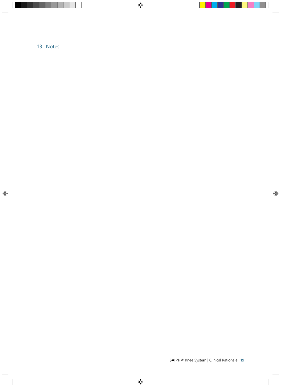# <span id="page-18-0"></span>13 Notes